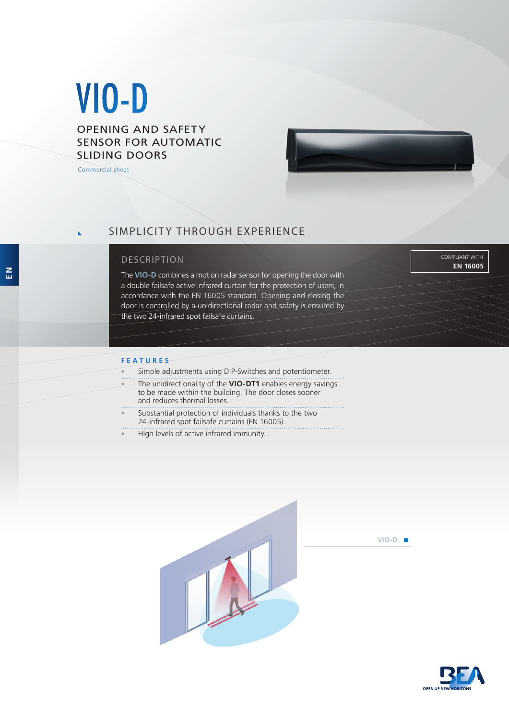# VIO-D

## OPENING AND SAFETY SENSOR FOR AUTOMATIC SLIDING DOORS

Commercial sheet



# SIMPLICITY THROUGH EXPERIENCE

### DESCRIPTION

The **VIO-D** combines a motion radar sensor for opening the door with a double failsafe active infrared curtain for the protection of users, in accordance with the EN 16005 standard. Opening and closing the door is controlled by a unidirectional radar and safety is ensured by the two 24-infrared spot failsafe curtains.

#### **EN 16005** COMPLIANT WITH

#### **FEATURES**

- Simple adjustments using DIP-Switches and potentiometer.
- The unidirectionality of the **VIO-DT1** enables energy savings to be made within the building. The door closes sooner and reduces thermal losses.
- **EXECUTE:** Substantial protection of individuals thanks to the two 24-infrared spot failsafe curtains (EN 16005).
- High levels of active infrared immunity.